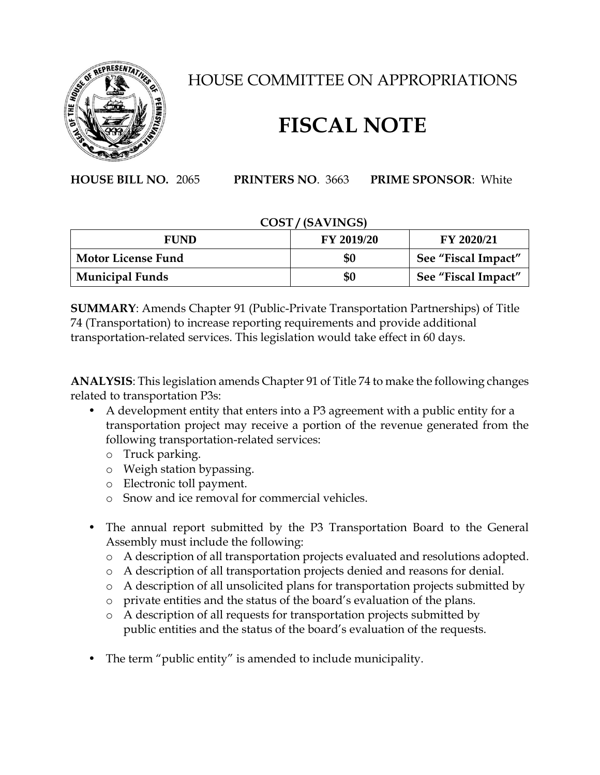

## HOUSE COMMITTEE ON APPROPRIATIONS

## **FISCAL NOTE**

**HOUSE BILL NO.** 2065 **PRINTERS NO**. 3663 **PRIME SPONSOR**: White

## **COST / (SAVINGS)**

| <b>FUND</b>               | <b>FY 2019/20</b> | FY 2020/21          |
|---------------------------|-------------------|---------------------|
| <b>Motor License Fund</b> | \$0               | See "Fiscal Impact" |
| <b>Municipal Funds</b>    | \$0               | See "Fiscal Impact" |

**SUMMARY**: Amends Chapter 91 (Public-Private Transportation Partnerships) of Title 74 (Transportation) to increase reporting requirements and provide additional transportation-related services. This legislation would take effect in 60 days.

**ANALYSIS**: This legislation amends Chapter 91 of Title 74 to make the following changes related to transportation P3s:

- A development entity that enters into a P3 agreement with a public entity for a transportation project may receive a portion of the revenue generated from the following transportation-related services:
	- o Truck parking.
	- o Weigh station bypassing.
	- o Electronic toll payment.
	- o Snow and ice removal for commercial vehicles.
- The annual report submitted by the P3 Transportation Board to the General Assembly must include the following:
	- o A description of all transportation projects evaluated and resolutions adopted.
	- o A description of all transportation projects denied and reasons for denial.
	- o A description of all unsolicited plans for transportation projects submitted by
	- o private entities and the status of the board's evaluation of the plans.
	- o A description of all requests for transportation projects submitted by public entities and the status of the board's evaluation of the requests.
- The term "public entity" is amended to include municipality.